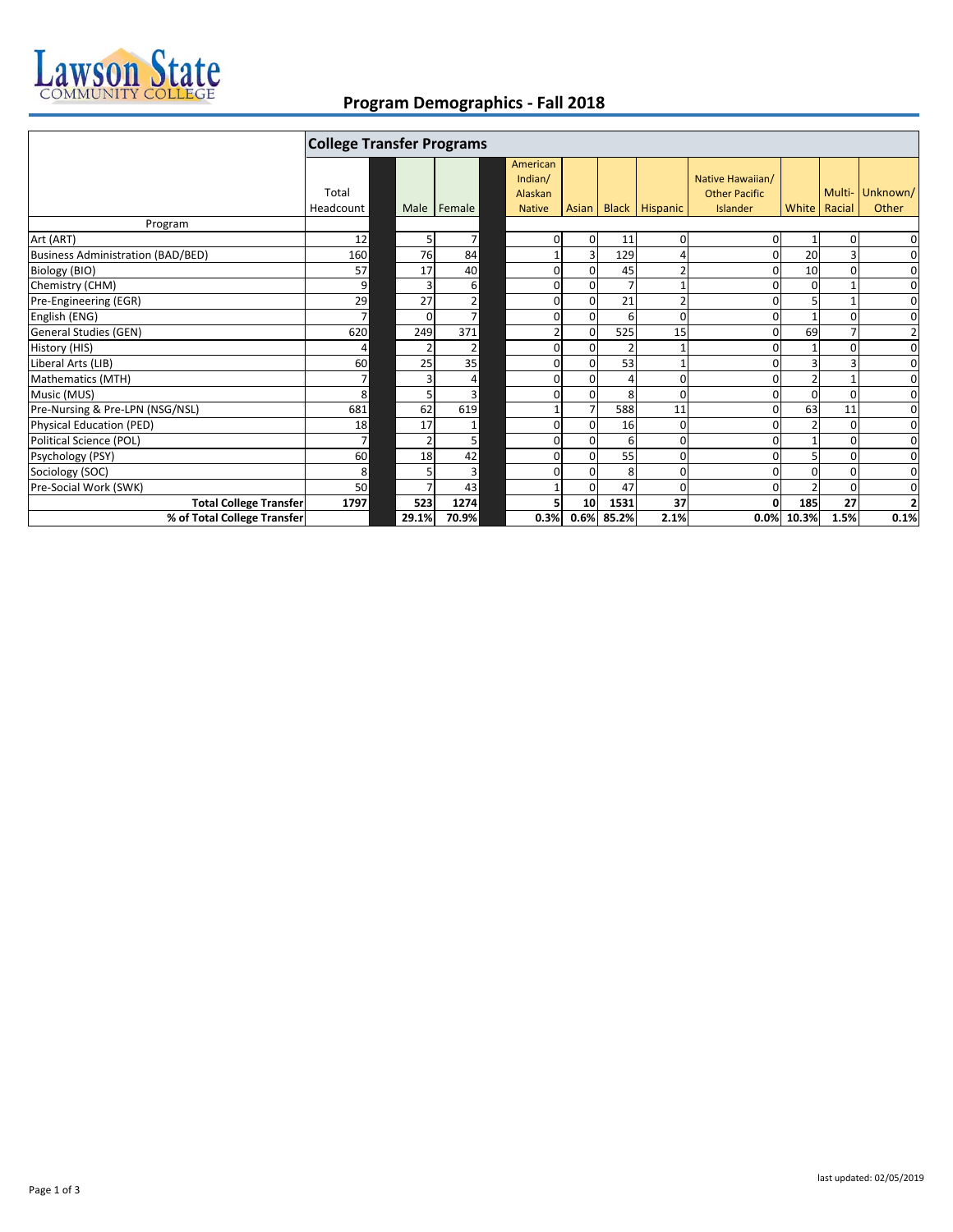

## **Program Demographics ‐ Fall 2018**

|                                   | <b>College Transfer Programs</b> |          |        |                                |                 |                |                      |                                          |                |          |                |
|-----------------------------------|----------------------------------|----------|--------|--------------------------------|-----------------|----------------|----------------------|------------------------------------------|----------------|----------|----------------|
|                                   | Total                            |          |        | American<br>Indian/<br>Alaskan |                 |                |                      | Native Hawaiian/<br><b>Other Pacific</b> |                | Multi-   | Unknown/       |
|                                   | Headcount                        | Male     | Female | <b>Native</b>                  |                 |                | Asian Black Hispanic | Islander                                 | White   Racial |          | Other          |
| Program                           |                                  |          |        |                                |                 |                |                      |                                          |                |          |                |
| Art (ART)                         | 12                               | 5        | 7      | 0                              | $\overline{0}$  | 11             | 0                    | 0                                        |                | 0        | 0              |
| Business Administration (BAD/BED) | 160                              | 76       | 84     |                                |                 | 129            |                      |                                          | 20             |          | 0              |
| Biology (BIO)                     | 57                               | 17       | 40     | 0                              | $\Omega$        | 45             | $\overline{2}$       |                                          | 10             |          | 0              |
| Chemistry (CHM)                   | 9                                |          | 6      | 0                              | $\Omega$        | 7              |                      |                                          | ŋ              |          | $\mathbf 0$    |
| Pre-Engineering (EGR)             | 29                               | 27       | 2      | 0                              | $\Omega$        | 21             | $\overline{2}$       |                                          |                |          | 0              |
| English (ENG)                     | $\overline{7}$                   | $\Omega$ | 7      | 0                              | $\overline{0}$  | 6              | 0                    |                                          |                |          | $\mathbf 0$    |
| General Studies (GEN)             | 620                              | 249      | 371    |                                | $\Omega$        | 525            | 15                   |                                          | 69             |          | $\overline{2}$ |
| History (HIS)                     | 4                                |          | 2      | $\mathbf{0}$                   | $\Omega$        | $\overline{2}$ |                      |                                          |                | O        | 0              |
| Liberal Arts (LIB)                | 60                               | 25       | 35     | $\mathbf{0}$                   | $\Omega$        | 53             |                      |                                          |                |          | $\mathbf 0$    |
| Mathematics (MTH)                 | 7                                |          | 4      | 0                              | 0               | Δ              | 0                    |                                          |                |          | $\mathbf 0$    |
| Music (MUS)                       | 8                                |          | 3      | $\Omega$                       | $\Omega$        | 8              | ŋ                    |                                          |                |          | $\mathbf 0$    |
| Pre-Nursing & Pre-LPN (NSG/NSL)   | 681                              | 62       | 619    |                                |                 | 588            | 11                   |                                          | 63             | 11       | $\mathbf 0$    |
| Physical Education (PED)          | 18                               | 17       |        | $\Omega$                       | $\Omega$        | 16             | 0                    |                                          |                | $\Omega$ | $\mathbf 0$    |
| Political Science (POL)           | $\overline{7}$                   |          | 5      | $\Omega$                       | $\Omega$        | 6              | 0                    |                                          |                | $\Omega$ | 0              |
| Psychology (PSY)                  | 60                               | 18       | 42     | 0                              | $\Omega$        | 55             | 0                    |                                          |                |          | $\mathbf 0$    |
| Sociology (SOC)                   | 8                                |          | 3      | 0                              | $\Omega$        | 8              | 0                    |                                          |                |          | 0              |
| Pre-Social Work (SWK)             | 50                               |          | 43     |                                | $\Omega$        | 47             | $\Omega$             |                                          |                | $\Omega$ | $\mathbf 0$    |
| <b>Total College Transfer</b>     | 1797                             | 523      | 1274   | 5                              | 10 <sup>1</sup> | 1531           | 37                   |                                          | 185            | 27       | $\overline{2}$ |
| % of Total College Transfer       |                                  | 29.1%    | 70.9%  | 0.3%                           | 0.6%            | 85.2%          | 2.1%                 | 0.0%                                     | 10.3%          | 1.5%     | 0.1%           |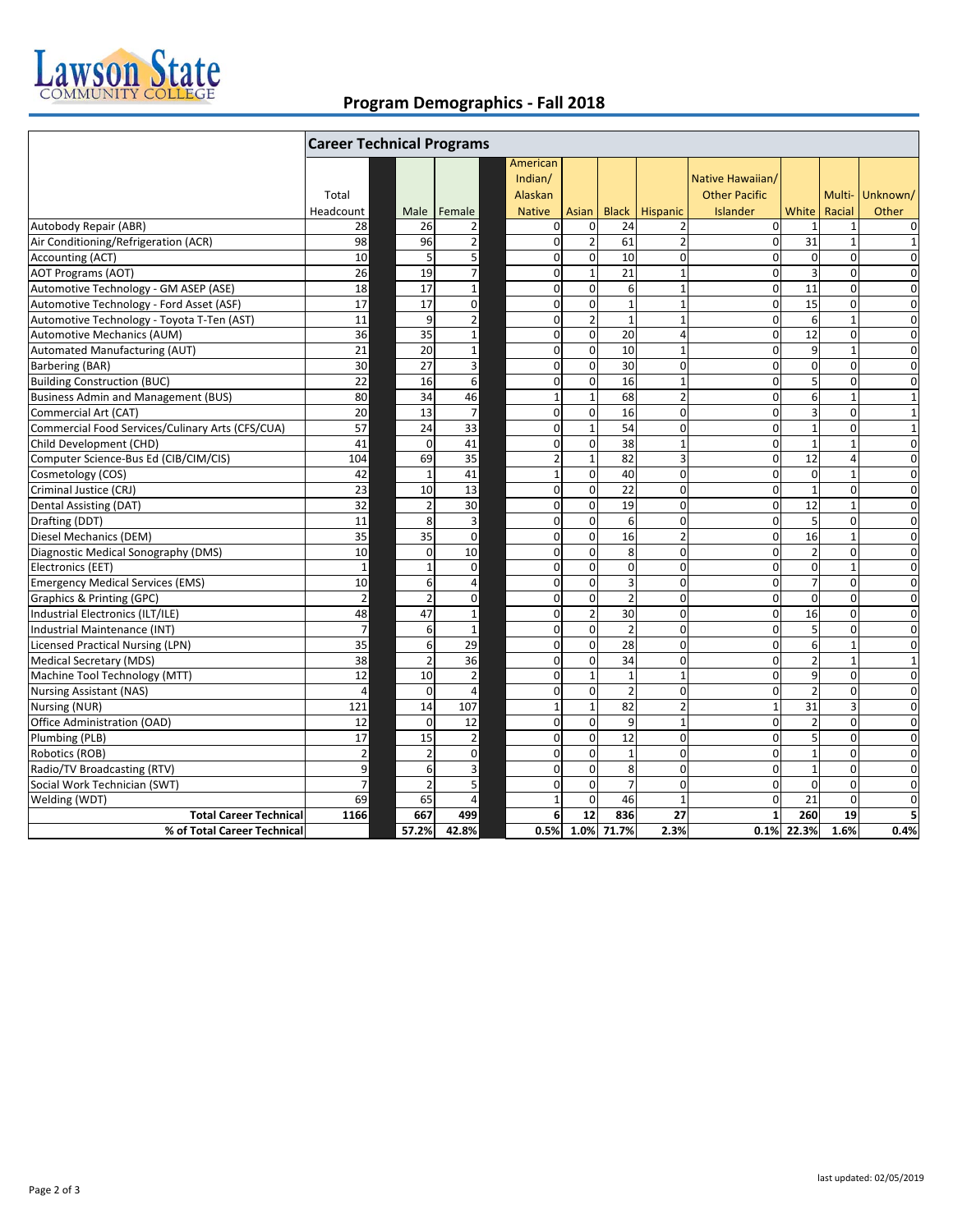

## **Program Demographics ‐ Fall 2018**

|                                                  | <b>Career Technical Programs</b> |                          |                          |               |                |                 |                |                      |                 |                |                 |
|--------------------------------------------------|----------------------------------|--------------------------|--------------------------|---------------|----------------|-----------------|----------------|----------------------|-----------------|----------------|-----------------|
|                                                  |                                  |                          |                          | American      |                |                 |                |                      |                 |                |                 |
|                                                  |                                  |                          |                          | Indian/       |                |                 |                | Native Hawaiian/     |                 |                |                 |
|                                                  | Total                            |                          |                          | Alaskan       |                |                 |                | <b>Other Pacific</b> |                 |                | Multi- Unknown/ |
|                                                  | Headcount                        | Male                     | Female                   | <b>Native</b> | Asian          | <b>Black</b>    | Hispanic       | Islander             | White           | Racial         | Other           |
| Autobody Repair (ABR)                            | 28                               | 26                       | $\overline{\mathbf{c}}$  | $\mathbf 0$   | $\mathbf 0$    | 24              | 2              | $\Omega$             | $\mathbf{1}$    | $\mathbf{1}$   | $\mathbf 0$     |
| Air Conditioning/Refrigeration (ACR)             | 98                               | 96                       | $\overline{2}$           | $\mathbf 0$   | $\overline{2}$ | 61              | $\overline{2}$ | $\Omega$             | 31              | $\mathbf{1}$   | $\mathbf{1}$    |
| Accounting (ACT)                                 | 10                               | 5                        | 5                        | $\mathbf 0$   | $\mathbf 0$    | 10              | $\mathbf 0$    | $\overline{0}$       | $\mathbf 0$     | $\Omega$       | $\mathbf 0$     |
| <b>AOT Programs (AOT)</b>                        | 26                               | 19                       | $\overline{\mathcal{I}}$ | $\mathbf 0$   | $1\,$          | 21              | $\mathbf{1}$   | $\overline{0}$       | 3               | $\mathbf 0$    | $\mathbf 0$     |
| Automotive Technology - GM ASEP (ASE)            | 18                               | 17                       | $\mathbf{1}$             | $\mathbf 0$   | $\mathbf 0$    | 6               | $\mathbf{1}$   | $\Omega$             | 11              | $\Omega$       | $\mathbf 0$     |
| Automotive Technology - Ford Asset (ASF)         | 17                               | 17                       | $\mathbf 0$              | $\mathbf 0$   | $\mathbf 0$    | $\mathbf{1}$    | $\mathbf{1}$   | $\overline{0}$       | 15              | $\mathbf 0$    | $\mathbf 0$     |
| Automotive Technology - Toyota T-Ten (AST)       | 11                               | 9                        | $\mathbf 2$              | $\mathbf 0$   | $\overline{2}$ | $\mathbf{1}$    | $\mathbf{1}$   | $\overline{0}$       | 6               | $\mathbf{1}$   | $\mathbf 0$     |
| Automotive Mechanics (AUM)                       | 36                               | 35                       | $\mathbf 1$              | $\mathbf 0$   | $\mathbf 0$    | 20              | 4              | $\Omega$             | $\overline{12}$ | $\mathbf 0$    | $\mathbf 0$     |
| Automated Manufacturing (AUT)                    | 21                               | 20                       | $\mathbf 1$              | $\mathbf 0$   | $\mathbf 0$    | 10              | $\mathbf{1}$   | $\Omega$             | 9               | $\mathbf{1}$   | $\mathbf 0$     |
| Barbering (BAR)                                  | 30                               | 27                       | 3                        | $\mathbf 0$   | $\mathbf 0$    | 30              | $\mathbf 0$    | $\overline{0}$       | $\mathbf 0$     | $\mathbf 0$    | $\mathbf 0$     |
| <b>Building Construction (BUC)</b>               | 22                               | 16                       | 6                        | $\mathbf 0$   | $\mathbf 0$    | 16              | $\mathbf{1}$   | $\Omega$             | $5\overline{)}$ | $\Omega$       | $\mathbf 0$     |
| <b>Business Admin and Management (BUS)</b>       | 80                               | 34                       | 46                       | $\mathbf 1$   | $\mathbf 1$    | 68              | $\overline{2}$ | $\overline{0}$       | 6               | $\mathbf{1}$   | $\mathbf{1}$    |
| Commercial Art (CAT)                             | 20                               | 13                       | $\overline{7}$           | $\mathbf 0$   | $\mathbf 0$    | 16              | $\mathbf 0$    | $\Omega$             | 3               | $\Omega$       | $\mathbf{1}$    |
| Commercial Food Services/Culinary Arts (CFS/CUA) | 57                               | 24                       | 33                       | $\mathbf 0$   | $\mathbf 1$    | 54              | $\mathbf 0$    | $\overline{0}$       | $\mathbf 1$     | $\pmb{0}$      | $\mathbf{1}$    |
| Child Development (CHD)                          | 41                               | $\Omega$                 | 41                       | $\mathbf 0$   | $\mathbf 0$    | 38              | $\mathbf{1}$   | $\Omega$             | $\mathbf{1}$    | $\mathbf{1}$   | $\mathbf 0$     |
| Computer Science-Bus Ed (CIB/CIM/CIS)            | 104                              | 69                       | 35                       | $\mathbf 2$   | $1\,$          | 82              | 3              | $\overline{0}$       | 12              | $\overline{4}$ | $\mathbf 0$     |
| Cosmetology (COS)                                | 42                               | $\overline{1}$           | 41                       | $\mathbf{1}$  | $\mathbf 0$    | 40              | $\mathbf 0$    | $\Omega$             | $\mathbf 0$     | $\mathbf{1}$   | $\mathbf 0$     |
| Criminal Justice (CRJ)                           | $\overline{23}$                  | 10                       | 13                       | $\mathbf 0$   | $\mathbf 0$    | $\overline{22}$ | $\mathbf 0$    | $\mathbf 0$          | $\mathbf{1}$    | $\mathbf 0$    | $\mathbf 0$     |
| Dental Assisting (DAT)                           | 32                               | $\overline{2}$           | 30                       | $\Omega$      | $\Omega$       | 19              | $\Omega$       | $\Omega$             | 12              | $\mathbf{1}$   | $\Omega$        |
| Drafting (DDT)                                   | 11                               | 8                        | 3                        | $\mathbf 0$   | $\mathbf 0$    | 6               | 0              | $\Omega$             | 5               | $\mathbf{0}$   | $\mathbf 0$     |
| Diesel Mechanics (DEM)                           | 35                               | 35                       | $\Omega$                 | $\Omega$      | $\Omega$       | 16              | $\overline{2}$ | $\Omega$             | 16              | $\mathbf{1}$   | $\Omega$        |
| Diagnostic Medical Sonography (DMS)              | 10                               | $\Omega$                 | 10                       | $\mathbf 0$   | $\mathbf 0$    | 8               | $\mathbf 0$    | $\mathbf 0$          | $\overline{2}$  | $\mathbf 0$    | $\mathbf 0$     |
| Electronics (EET)                                | $\mathbf{1}$                     | $\overline{1}$           | $\mathbf 0$              | $\Omega$      | $\Omega$       | $\Omega$        | $\mathbf 0$    | $\Omega$             | $\mathbf 0$     | $\mathbf{1}$   | $\Omega$        |
| <b>Emergency Medical Services (EMS)</b>          | 10                               | 6                        | 4                        | $\mathbf 0$   | $\mathbf 0$    | 3               | $\mathbf 0$    | $\mathbf{0}$         | $\overline{7}$  | $\mathbf 0$    | $\mathbf 0$     |
| Graphics & Printing (GPC)                        | $\overline{\mathbf{c}}$          | $\mathcal{P}$            | $\Omega$                 | $\Omega$      | $\Omega$       | $\overline{2}$  | $\Omega$       | $\Omega$             | $\mathbf 0$     | $\Omega$       | $\mathbf 0$     |
| Industrial Electronics (ILT/ILE)                 | 48                               | 47                       | $\mathbf{1}$             | $\mathbf 0$   | $\overline{2}$ | 30              | $\mathbf 0$    | $\overline{0}$       | 16              | $\mathbf 0$    | $\mathbf 0$     |
| Industrial Maintenance (INT)                     | $\overline{7}$                   | 6                        | $\mathbf{1}$             | $\mathbf 0$   | $\mathbf 0$    | $\overline{2}$  | $\mathbf 0$    | $\overline{0}$       | $\mathsf{5}$    | $\mathbf 0$    | $\mathbf 0$     |
| <b>Licensed Practical Nursing (LPN)</b>          | 35                               | 6                        | 29                       | $\mathbf 0$   | $\mathbf 0$    | 28              | $\mathbf 0$    | $\Omega$             | 6               | $\mathbf{1}$   | $\mathbf 0$     |
| <b>Medical Secretary (MDS)</b>                   | 38                               | $\overline{2}$           | 36                       | $\mathbf 0$   | $\mathbf 0$    | 34              | $\mathbf 0$    | $\overline{0}$       | $\overline{2}$  | $\mathbf{1}$   | $\mathbf{1}$    |
| Machine Tool Technology (MTT)                    | 12                               | 10                       | $\mathbf 2$              | $\mathbf 0$   | $\mathbf{1}$   | $\mathbf{1}$    | $\mathbf{1}$   | $\Omega$             | 9               | $\mathbf 0$    | $\mathbf 0$     |
| <b>Nursing Assistant (NAS)</b>                   | $\overline{4}$                   | $\Omega$                 | $\overline{4}$           | $\mathbf 0$   | $\mathbf 0$    | $\overline{2}$  | $\mathbf 0$    | $\overline{0}$       | $\overline{2}$  | $\mathbf 0$    | $\mathbf 0$     |
| Nursing (NUR)                                    | 121                              | 14                       | 107                      | $\mathbf{1}$  | $1\,$          | 82              | $\overline{2}$ | $1\overline{ }$      | 31              | $\overline{3}$ | $\mathbf 0$     |
| Office Administration (OAD)                      | 12                               | $\Omega$                 | 12                       | $\mathbf 0$   | $\mathbf 0$    | 9               | $\mathbf{1}$   | $\overline{0}$       | $\overline{2}$  | $\mathbf 0$    | $\mathbf 0$     |
| Plumbing (PLB)                                   | 17                               | 15                       | $\overline{2}$           | $\mathbf 0$   | $\mathbf 0$    | 12              | $\mathbf 0$    | $\Omega$             | 5               | $\mathbf 0$    | $\mathbf 0$     |
| Robotics (ROB)                                   | $\mathbf 2$                      | $\overline{2}$           | $\mathbf 0$              | $\mathbf 0$   | $\mathbf 0$    | $\mathbf{1}$    | $\mathbf 0$    | $\Omega$             | $\mathbf{1}$    | $\Omega$       | $\mathbf 0$     |
| Radio/TV Broadcasting (RTV)                      | 9                                | 6                        | 3                        | $\mathbf 0$   | $\mathbf 0$    | 8               | $\mathbf 0$    | $\Omega$             | $\mathbf{1}$    | $\mathbf{0}$   | $\mathbf 0$     |
| Social Work Technician (SWT)                     | $\overline{7}$                   | $\overline{\phantom{a}}$ | 5                        | $\mathbf 0$   | $\Omega$       | $\overline{7}$  | $\overline{0}$ | $\Omega$             | $\mathbf 0$     | $\Omega$       | $\mathbf 0$     |
| Welding (WDT)                                    | 69                               | 65                       | $\overline{4}$           | $\mathbf{1}$  | $\mathbf 0$    | 46              | $\mathbf{1}$   | $\Omega$             | 21              | $\Omega$       | $\mathbf 0$     |
| <b>Total Career Technical</b>                    | 1166                             | 667                      | 499                      | 6             | 12             | 836             | 27             | $\mathbf{1}$         | 260             | 19             | 5               |
| % of Total Career Technical                      |                                  | 57.2%                    | 42.8%                    | 0.5%          |                | 1.0% 71.7%      | 2.3%           |                      | 0.1% 22.3%      | 1.6%           | 0.4%            |
|                                                  |                                  |                          |                          |               |                |                 |                |                      |                 |                |                 |